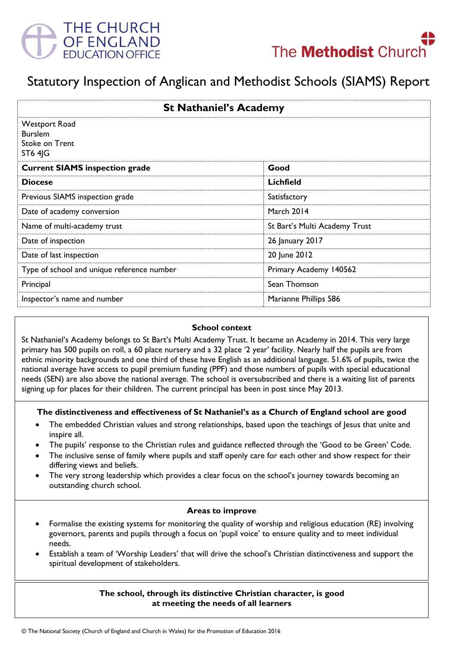



# Statutory Inspection of Anglican and Methodist Schools (SIAMS) Report

| <b>St Nathaniel's Academy</b>                              |                               |
|------------------------------------------------------------|-------------------------------|
| Westport Road<br><b>Burslem</b><br>Stoke on Trent<br>ST64G |                               |
| <b>Current SIAMS inspection grade</b>                      | Good                          |
| <b>Diocese</b>                                             | Lichfield                     |
| Previous SIAMS inspection grade                            | Satisfactory                  |
| Date of academy conversion                                 | March 2014                    |
| Name of multi-academy trust                                | St Bart's Multi Academy Trust |
| Date of inspection                                         | 26 January 2017               |
| Date of last inspection                                    | 20 June 2012                  |
| Type of school and unique reference number                 | Primary Academy 140562        |
| Principal                                                  | Sean Thomson                  |
| Inspector's name and number                                | Marianne Phillips 586         |

#### **School context**

St Nathaniel's Academy belongs to St Bart's Multi Academy Trust. It became an Academy in 2014. This very large primary has 500 pupils on roll, a 60 place nursery and a 32 place '2 year' facility. Nearly half the pupils are from ethnic minority backgrounds and one third of these have English as an additional language. 51.6% of pupils, twice the national average have access to pupil premium funding (PPF) and those numbers of pupils with special educational needs (SEN) are also above the national average. The school is oversubscribed and there is a waiting list of parents signing up for places for their children. The current principal has been in post since May 2013.

#### **The distinctiveness and effectiveness of St Nathaniel's as a Church of England school are good**

- The embedded Christian values and strong relationships, based upon the teachings of Jesus that unite and inspire all.
- The pupils' response to the Christian rules and guidance reflected through the 'Good to be Green' Code.
- The inclusive sense of family where pupils and staff openly care for each other and show respect for their differing views and beliefs.
- The very strong leadership which provides a clear focus on the school's journey towards becoming an outstanding church school.

#### **Areas to improve**

- Formalise the existing systems for monitoring the quality of worship and religious education (RE) involving governors, parents and pupils through a focus on 'pupil voice' to ensure quality and to meet individual needs.
- Establish a team of 'Worship Leaders' that will drive the school's Christian distinctiveness and support the spiritual development of stakeholders.

#### **The school, through its distinctive Christian character, is good at meeting the needs of all learners**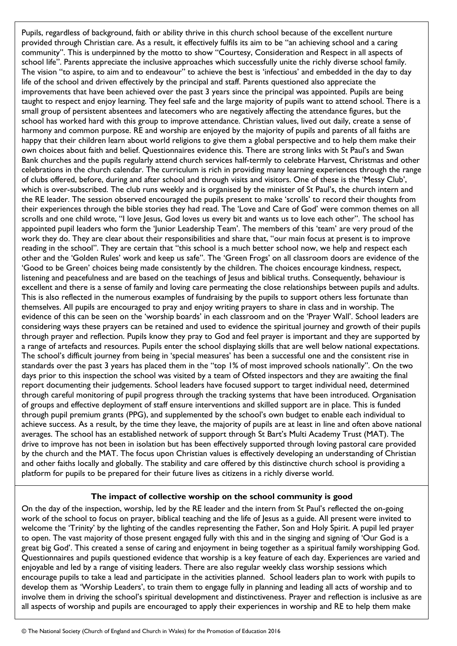Pupils, regardless of background, faith or ability thrive in this church school because of the excellent nurture provided through Christian care. As a result, it effectively fulfils its aim to be "an achieving school and a caring community". This is underpinned by the motto to show "Courtesy, Consideration and Respect in all aspects of school life". Parents appreciate the inclusive approaches which successfully unite the richly diverse school family. The vision "to aspire, to aim and to endeavour" to achieve the best is 'infectious' and embedded in the day to day life of the school and driven effectively by the principal and staff. Parents questioned also appreciate the improvements that have been achieved over the past 3 years since the principal was appointed. Pupils are being taught to respect and enjoy learning. They feel safe and the large majority of pupils want to attend school. There is a small group of persistent absentees and latecomers who are negatively affecting the attendance figures, but the school has worked hard with this group to improve attendance. Christian values, lived out daily, create a sense of harmony and common purpose. RE and worship are enjoyed by the majority of pupils and parents of all faiths are happy that their children learn about world religions to give them a global perspective and to help them make their own choices about faith and belief. Questionnaires evidence this. There are strong links with St Paul's and Swan Bank churches and the pupils regularly attend church services half-termly to celebrate Harvest, Christmas and other celebrations in the church calendar. The curriculum is rich in providing many learning experiences through the range of clubs offered, before, during and after school and through visits and visitors. One of these is the 'Messy Club', which is over-subscribed. The club runs weekly and is organised by the minister of St Paul's, the church intern and the RE leader. The session observed encouraged the pupils present to make 'scrolls' to record their thoughts from their experiences through the bible stories they had read. The 'Love and Care of God' were common themes on all scrolls and one child wrote, "I love Jesus, God loves us every bit and wants us to love each other". The school has appointed pupil leaders who form the 'Junior Leadership Team'. The members of this 'team' are very proud of the work they do. They are clear about their responsibilities and share that, "our main focus at present is to improve reading in the school". They are certain that "this school is a much better school now, we help and respect each other and the 'Golden Rules' work and keep us safe". The 'Green Frogs' on all classroom doors are evidence of the 'Good to be Green' choices being made consistently by the children. The choices encourage kindness, respect, listening and peacefulness and are based on the teachings of Jesus and biblical truths. Consequently, behaviour is excellent and there is a sense of family and loving care permeating the close relationships between pupils and adults. This is also reflected in the numerous examples of fundraising by the pupils to support others less fortunate than themselves. All pupils are encouraged to pray and enjoy writing prayers to share in class and in worship. The evidence of this can be seen on the 'worship boards' in each classroom and on the 'Prayer Wall'. School leaders are considering ways these prayers can be retained and used to evidence the spiritual journey and growth of their pupils through prayer and reflection. Pupils know they pray to God and feel prayer is important and they are supported by a range of artefacts and resources. Pupils enter the school displaying skills that are well below national expectations. The school's difficult journey from being in 'special measures' has been a successful one and the consistent rise in standards over the past 3 years has placed them in the "top 1% of most improved schools nationally". On the two days prior to this inspection the school was visited by a team of Ofsted inspectors and they are awaiting the final report documenting their judgements. School leaders have focused support to target individual need, determined through careful monitoring of pupil progress through the tracking systems that have been introduced. Organisation of groups and effective deployment of staff ensure interventions and skilled support are in place. This is funded through pupil premium grants (PPG), and supplemented by the school's own budget to enable each individual to achieve success. As a result, by the time they leave, the majority of pupils are at least in line and often above national averages. The school has an established network of support through St Bart's Multi Academy Trust (MAT). The drive to improve has not been in isolation but has been effectively supported through loving pastoral care provided by the church and the MAT. The focus upon Christian values is effectively developing an understanding of Christian and other faiths locally and globally. The stability and care offered by this distinctive church school is providing a platform for pupils to be prepared for their future lives as citizens in a richly diverse world.

## **The impact of collective worship on the school community is good**

On the day of the inspection, worship, led by the RE leader and the intern from St Paul's reflected the on-going work of the school to focus on prayer, biblical teaching and the life of Jesus as a guide. All present were invited to welcome the 'Trinity' by the lighting of the candles representing the Father, Son and Holy Spirit. A pupil led prayer to open. The vast majority of those present engaged fully with this and in the singing and signing of 'Our God is a great big God'. This created a sense of caring and enjoyment in being together as a spiritual family worshipping God. Questionnaires and pupils questioned evidence that worship is a key feature of each day. Experiences are varied and enjoyable and led by a range of visiting leaders. There are also regular weekly class worship sessions which encourage pupils to take a lead and participate in the activities planned. School leaders plan to work with pupils to develop them as 'Worship Leaders', to train them to engage fully in planning and leading all acts of worship and to involve them in driving the school's spiritual development and distinctiveness. Prayer and reflection is inclusive as are all aspects of worship and pupils are encouraged to apply their experiences in worship and RE to help them make